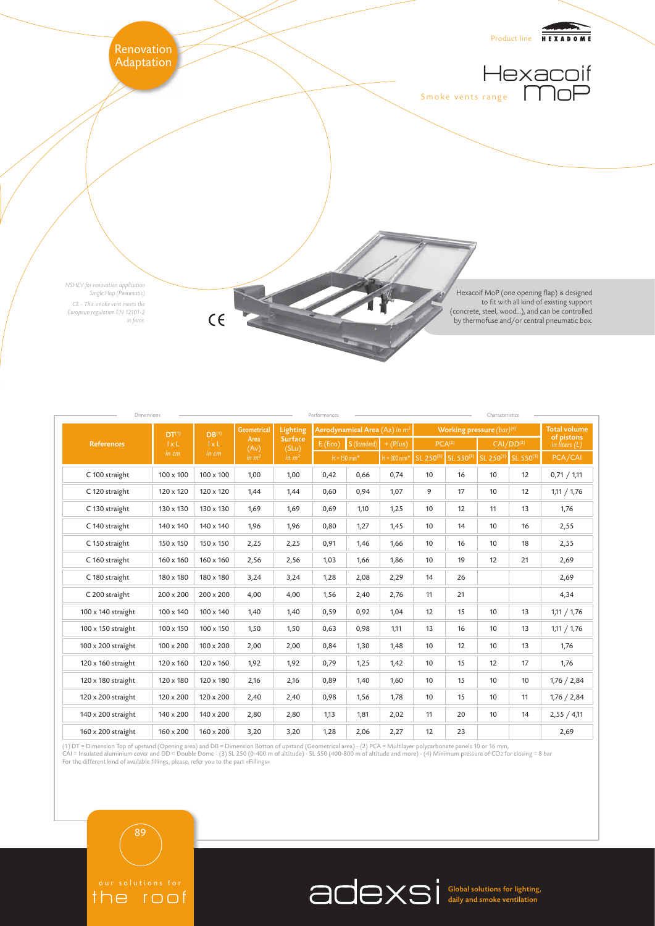

| Dimensions<br>Performances<br>Characteristics |                                   |                                   |                                                         |                                                          |                                           |      |               |                                |    |                                                                                         |    |                               |
|-----------------------------------------------|-----------------------------------|-----------------------------------|---------------------------------------------------------|----------------------------------------------------------|-------------------------------------------|------|---------------|--------------------------------|----|-----------------------------------------------------------------------------------------|----|-------------------------------|
| <b>References</b>                             | DT <sup>(1)</sup><br>1xL<br>in cm | DB <sup>(1)</sup><br>1xL<br>in cm | <b>Geometrical</b><br>Area<br>(Av)<br>in m <sup>2</sup> | Lighting<br><b>Surface</b><br>(SLu)<br>in m <sup>2</sup> | Aerodynamical Area (Aa) in m <sup>2</sup> |      |               | Working pressure $(bar)^{(4)}$ |    |                                                                                         |    | <b>Total volume</b>           |
|                                               |                                   |                                   |                                                         |                                                          | S (Standard)<br>E(Eco)                    |      | $+$ (Plus)    | PCA <sup>(2)</sup>             |    | $\overline{CAI/DD^{(2)}}$                                                               |    | of pistons<br>in liters $(L)$ |
|                                               |                                   |                                   |                                                         |                                                          | $H = 150$ mm <sup>*</sup>                 |      | $H = 300$ mm* |                                |    | SL 250 <sup>(3)</sup> SL 550 <sup>(3)</sup> SL 250 <sup>(3)</sup> SL 550 <sup>(3)</sup> |    | PCA/CAI                       |
| C 100 straight                                | 100 x 100                         | $100 \times 100$                  | 1,00                                                    | 1,00                                                     | 0,42                                      | 0,66 | 0,74          | 10                             | 16 | 10                                                                                      | 12 | 0,71 / 1,11                   |
| C 120 straight                                | 120 x 120                         | 120 x 120                         | 1,44                                                    | 1,44                                                     | 0,60                                      | 0,94 | 1,07          | 9                              | 17 | 10                                                                                      | 12 | 1,11 / 1,76                   |
| C 130 straight                                | 130 x 130                         | 130 x 130                         | 1,69                                                    | 1,69                                                     | 0,69                                      | 1,10 | 1,25          | 10                             | 12 | 11                                                                                      | 13 | 1,76                          |
| C 140 straight                                | 140 x 140                         | 140 x 140                         | 1,96                                                    | 1,96                                                     | 0,80                                      | 1,27 | 1,45          | 10                             | 14 | 10                                                                                      | 16 | 2,55                          |
| C 150 straight                                | 150 x 150                         | 150 x 150                         | 2,25                                                    | 2,25                                                     | 0,91                                      | 1,46 | 1,66          | 10                             | 16 | 10                                                                                      | 18 | 2,55                          |
| C 160 straight                                | 160 x 160                         | $160 \times 160$                  | 2,56                                                    | 2,56                                                     | 1,03                                      | 1,66 | 1,86          | 10                             | 19 | 12                                                                                      | 21 | 2,69                          |
| C 180 straight                                | 180 x 180                         | 180 x 180                         | 3,24                                                    | 3,24                                                     | 1,28                                      | 2,08 | 2,29          | 14                             | 26 |                                                                                         |    | 2,69                          |
| C 200 straight                                | $200 \times 200$                  | $200 \times 200$                  | 4,00                                                    | 4,00                                                     | 1,56                                      | 2,40 | 2,76          | 11                             | 21 |                                                                                         |    | 4,34                          |
| 100 x 140 straight                            | 100 x 140                         | $100 \times 140$                  | 1,40                                                    | 1,40                                                     | 0,59                                      | 0,92 | 1,04          | 12                             | 15 | 10                                                                                      | 13 | 1,11 / 1,76                   |
| 100 x 150 straight                            | 100 x 150                         | $100 \times 150$                  | 1,50                                                    | 1,50                                                     | 0,63                                      | 0,98 | 1,11          | 13                             | 16 | 10                                                                                      | 13 | 1,11 / 1,76                   |
| 100 x 200 straight                            | $100 \times 200$                  | $100 \times 200$                  | 2,00                                                    | 2,00                                                     | 0,84                                      | 1,30 | 1,48          | 10                             | 12 | 10                                                                                      | 13 | 1,76                          |
| 120 x 160 straight                            | 120 x 160                         | 120 x 160                         | 1,92                                                    | 1,92                                                     | 0,79                                      | 1,25 | 1,42          | 10                             | 15 | 12                                                                                      | 17 | 1,76                          |
| 120 x 180 straight                            | 120 x 180                         | 120 x 180                         | 2,16                                                    | 2,16                                                     | 0,89                                      | 1,40 | 1,60          | 10                             | 15 | 10                                                                                      | 10 | 1,76 / 2,84                   |
| 120 x 200 straight                            | 120 x 200                         | 120 x 200                         | 2,40                                                    | 2,40                                                     | 0,98                                      | 1,56 | 1,78          | 10                             | 15 | 10                                                                                      | 11 | 1,76 / 2,84                   |
| 140 x 200 straight                            | 140 x 200                         | 140 x 200                         | 2,80                                                    | 2,80                                                     | 1,13                                      | 1,81 | 2,02          | 11                             | 20 | 10                                                                                      | 14 | 2,55 / 4,11                   |
| 160 x 200 straight                            | $160 \times 200$                  | $160 \times 200$                  | 3,20                                                    | 3,20                                                     | 1,28                                      | 2,06 | 2,27          | 12                             | 23 |                                                                                         |    | 2,69                          |

(1) DT = Dimension Top of upstand (Opening area) and DB = Dimension Botton of upstand (Geometrical area) - (2) PCA = Multilayer polycarbonate panels 10 or 16 mm,<br>CAI = Insulated aluminium cover and DD = Double Dome - (3) S

# the roof 89

Global solutions for lighting, daily and smoke ventilation